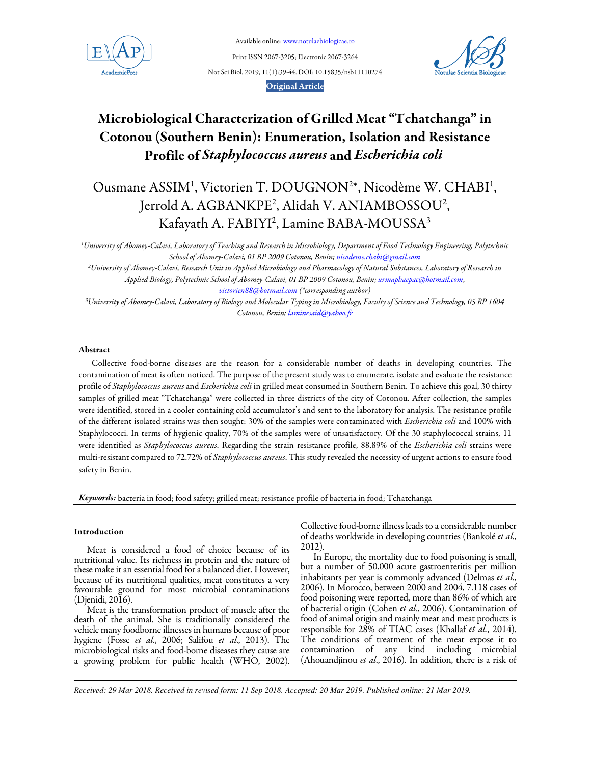

Available online: www.notulaebiologicae.ro Print ISSN 2067-3205; Electronic 2067-3264 Not Sci Biol, 2019, 11(1):39-44. DOI: 10.15835/nsb11110274





# Microbiological Characterization of Grilled Meat "Tchatchanga" in Cotonou (Southern Benin): Enumeration, Isolation and Resistance Profile of Staphylococcus aureus and Escherichia coli

# Ousmane ASSIM<sup>1</sup>, Victorien T. DOUGNON<sup>2\*</sup>, Nicodème W. CHABI<sup>1</sup>, Jerrold A. AGBANKPE<sup>2</sup> , Alidah V. ANIAMBOSSOU<sup>2</sup> , Kafayath A. FABIYI<sup>2</sup>, Lamine BABA-MOUSSA $^3$

*<sup>1</sup>University of Abomey-Calavi, Laboratory of Teaching and Research in Microbiology, Department of Food Technology Engineering, Polytechnic School of Abomey-Calavi, 01 BP 2009 Cotonou, Benin; nicodeme.chabi@gmail.com*

*<sup>2</sup>University of Abomey-Calavi, Research Unit in Applied Microbiology and Pharmacology of Natural Substances, Laboratory of Research in Applied Biology, Polytechnic School of Abomey-Calavi, 01 BP 2009 Cotonou, Benin; urmaphaepac@hotmail.com*, *victorien88@hotmail.com (\*corresponding author)* 

*<sup>3</sup>University of Abomey-Calavi, Laboratory of Biology and Molecular Typing in Microbiology, Faculty of Science and Technology, 05 BP 1604 Cotonou, Benin; laminesaid@yahoo.fr*

# Abstract

Collective food-borne diseases are the reason for a considerable number of deaths in developing countries. The contamination of meat is often noticed. The purpose of the present study was to enumerate, isolate and evaluate the resistance profile of *Staphylococcus aureus* and *Escherichia coli* in grilled meat consumed in Southern Benin. To achieve this goal, 30 thirty samples of grilled meat "Tchatchanga" were collected in three districts of the city of Cotonou. After collection, the samples were identified, stored in a cooler containing cold accumulator's and sent to the laboratory for analysis. The resistance profile of the different isolated strains was then sought: 30% of the samples were contaminated with *Escherichia coli* and 100% with Staphylococci. In terms of hygienic quality, 70% of the samples were of unsatisfactory. Of the 30 staphylococcal strains, 11 were identified as *Staphylococcus aureus*. Regarding the strain resistance profile, 88.89% of the *Escherichia coli* strains were multi-resistant compared to 72.72% of *Staphylococcus aureus*. This study revealed the necessity of urgent actions to ensure food safety in Benin.

Keywords: bacteria in food; food safety; grilled meat; resistance profile of bacteria in food; Tchatchanga

## Introduction

Meat is considered a food of choice because of its nutritional value. Its richness in protein and the nature of these make it an essential food for a balanced diet. However, because of its nutritional qualities, meat constitutes a very favourable ground for most microbial contaminations (Djenidi, 2016).

Meat is the transformation product of muscle after the death of the animal. She is traditionally considered the vehicle many foodborne illnesses in humans because of poor hygiene (Fosse *et al*., 2006; Salifou *et al*., 2013). The microbiological risks and food-borne diseases they cause are a growing problem for public health (WHO, 2002).

Collective food-borne illness leads to a considerable number of deaths worldwide in developing countries (Bankolé *et al*., 2012).

In Europe, the mortality due to food poisoning is small, but a number of 50.000 acute gastroenteritis per million inhabitants per year is commonly advanced (Delmas *et al*., 2006). In Morocco, between 2000 and 2004, 7.118 cases of food poisoning were reported, more than 86% of which are of bacterial origin (Cohen *et al*., 2006). Contamination of food of animal origin and mainly meat and meat products is responsible for 28% of TIAC cases (Khallaf *et al.*, 2014). The conditions of treatment of the meat expose it to contamination of any kind including microbial (Ahouandjinou *et al*., 2016). In addition, there is a risk of

*Received: 29 Mar 2018. Received in revised form: 11 Sep 2018. Accepted: 20 Mar 2019. Published online: 21 Mar 2019.*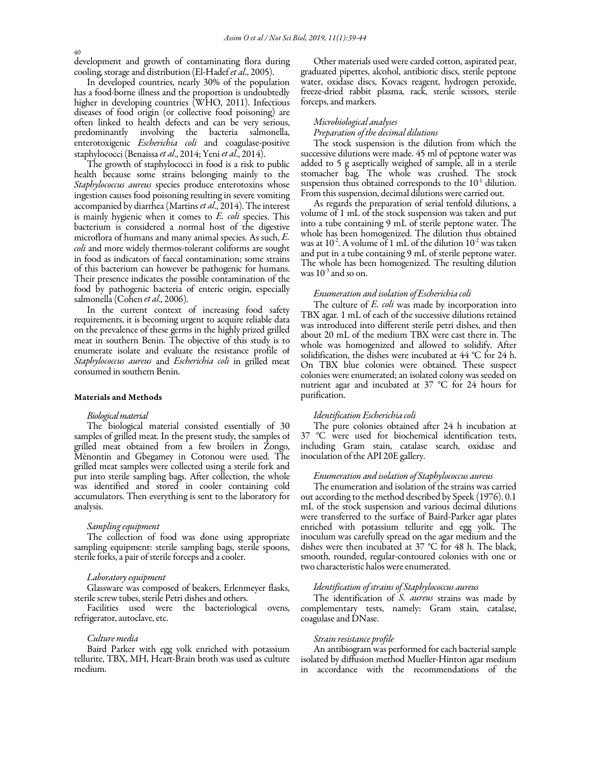development and growth of contaminating flora during cooling, storage and distribution (El-Hadef *et al*., 2005).

In developed countries, nearly 30% of the population has a food-borne illness and the proportion is undoubtedly higher in developing countries (WHO, 2011). Infectious diseases of food origin (or collective food poisoning) are often linked to health defects and can be very serious, predominantly involving the bacteria salmonella, enterotoxigenic *Escherichia coli* and coagulase-positive staphylococci (Benaissa *et al*., 2014; Yeni *et al*., 2014).

The growth of staphylococci in food is a risk to public health because some strains belonging mainly to the *Staphylococcus aureus* species produce enterotoxins whose ingestion causes food poisoning resulting in severe vomiting accompanied by diarrhea (Martins *et al*., 2014). The interest is mainly hygienic when it comes to *E. coli* species. This bacterium is considered a normal host of the digestive microflora of humans and many animal species. As such, *E. coli* and more widely thermos-tolerant coliforms are sought in food as indicators of faecal contamination; some strains of this bacterium can however be pathogenic for humans. Their presence indicates the possible contamination of the food by pathogenic bacteria of enteric origin, especially salmonella (Cohen *et al*., 2006).

In the current context of increasing food safety requirements, it is becoming urgent to acquire reliable data on the prevalence of these germs in the highly prized grilled meat in southern Benin*.* The objective of this study is to enumerate isolate and evaluate the resistance profile of *Staphylococcus aureus* and *Escherichia coli* in grilled meat consumed in southern Benin.

#### Materials and Methods

### *Biological material*

The biological material consisted essentially of 30 samples of grilled meat. In the present study, the samples of grilled meat obtained from a few broilers in Zongo, Mènontin and Gbegamey in Cotonou were used. The grilled meat samples were collected using a sterile fork and put into sterile sampling bags. After collection, the whole was identified and stored in cooler containing cold accumulators. Then everything is sent to the laboratory for analysis.

### *Sampling equipment*

The collection of food was done using appropriate sampling equipment: sterile sampling bags, sterile spoons, sterile forks, a pair of sterile forceps and a cooler.

## *Laboratory equipment*

Glassware was composed of beakers, Erlenmeyer flasks, sterile screw tubes, sterile Petri dishes and others.

Facilities used were the bacteriological ovens, refrigerator, autoclave, etc.

## *Culture media*

Baird Parker with egg yolk enriched with potassium tellurite, TBX, MH, Heart-Brain broth was used as culture medium.

Other materials used were carded cotton, aspirated pear, graduated pipettes, alcohol, antibiotic discs, sterile peptone water, oxidase discs, Kovacs reagent, hydrogen peroxide, freeze-dried rabbit plasma, rack, sterile scissors, sterile forceps, and markers.

## *Microbiological analyses*

# *Preparation of the decimal dilutions*

The stock suspension is the dilution from which the successive dilutions were made. 45 ml of peptone water was added to 5 g aseptically weighed of sample, all in a sterile stomacher bag. The whole was crushed. The stock suspension thus obtained corresponds to the  $10<sup>-1</sup>$  dilution. From this suspension, decimal dilutions were carried out.

As regards the preparation of serial tenfold dilutions, a volume of 1 mL of the stock suspension was taken and put into a tube containing 9 mL of sterile peptone water. The whole has been homogenized. The dilution thus obtained was at  $10^{-2}$ . A volume of 1 mL of the dilution  $10^{-2}$  was taken and put in a tube containing 9 mL of sterile peptone water. The whole has been homogenized. The resulting dilution was  $10^{-3}$  and so on.

### *Enumeration and isolation of Escherichia coli*

The culture of *E. coli* was made by incorporation into TBX agar. 1 mL of each of the successive dilutions retained was introduced into different sterile petri dishes, and then about 20 mL of the medium TBX were cast there in. The whole was homogenized and allowed to solidify. After solidification, the dishes were incubated at 44 °C for 24 h. On TBX blue colonies were obtained. These suspect colonies were enumerated; an isolated colony was seeded on nutrient agar and incubated at 37 °C for 24 hours for purification.

# *Identification Escherichia coli*

The pure colonies obtained after 24 h incubation at 37 °C were used for biochemical identification tests, including Gram stain, catalase search, oxidase and inoculation of the API 20E gallery.

# *Enumeration and isolation of Staphylococcus aureus*

The enumeration and isolation of the strains was carried out according to the method described by Speek (1976). 0.1 mL of the stock suspension and various decimal dilutions were transferred to the surface of Baird-Parker agar plates enriched with potassium tellurite and egg yolk. The inoculum was carefully spread on the agar medium and the dishes were then incubated at 37 °C for 48 h. The black, smooth, rounded, regular-contoured colonies with one or two characteristic halos were enumerated.

# *Identification of strains of Staphylococcus aureus*

The identification of *S. aureus* strains was made by complementary tests, namely: Gram stain, catalase, coagulase and DNase.

### *Strain resistance profile*

An antibiogram was performed for each bacterial sample isolated by diffusion method Mueller-Hinton agar medium in accordance with the recommendations of the

40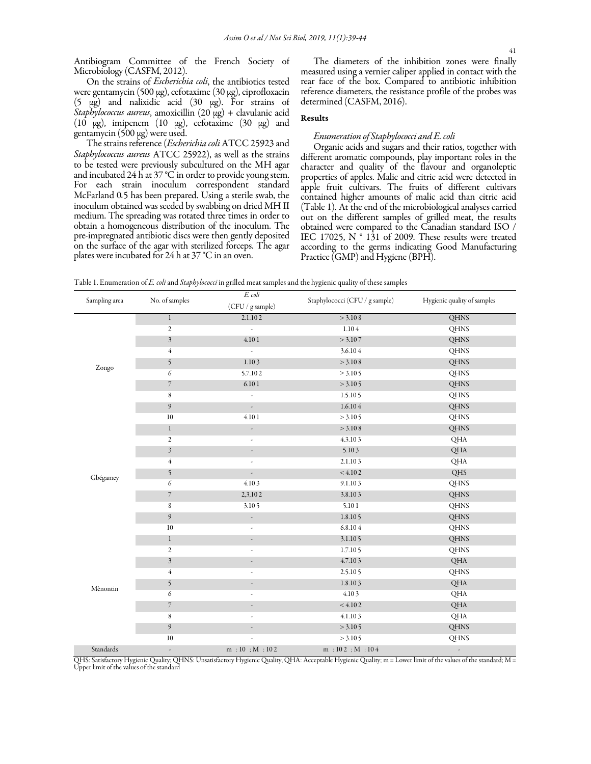Antibiogram Committee of the French Society of Microbiology (CASFM, 2012).

On the strains of *Escherichia coli*, the antibiotics tested were gentamycin (500 μg), cefotaxime (30 μg), ciprofloxacin (5 μg) and nalixidic acid (30 μg). For strains of *Staphylococcus aureus*, amoxicillin (20 μg) + clavulanic acid (10 μg), imipenem (10 μg), cefotaxime (30 μg) and gentamycin (500 μg) were used.

The strains reference (*Escherichia coli*ATCC 25923 and *Staphylococcus aureus* ATCC 25922), as well as the strains to be tested were previously subcultured on the MH agar and incubated 24 h at 37 °C in order to provide young stem. For each strain inoculum correspondent standard McFarland 0*.*5 has been prepared. Using a sterile swab, the inoculum obtained was seeded by swabbing on dried MH II medium. The spreading was rotated three times in order to obtain a homogeneous distribution of the inoculum. The pre-impregnated antibiotic discs were then gently deposited on the surface of the agar with sterilized forceps. The agar plates were incubated for 24 h at 37 °C in an oven.

The diameters of the inhibition zones were finally measured using a vernier caliper applied in contact with the rear face of the box. Compared to antibiotic inhibition reference diameters, the resistance profile of the probes was determined (CASFM, 2016).

### Results

### *Enumeration of Staphylococci and E. coli*

Organic acids and sugars and their ratios, together with different aromatic compounds, play important roles in the character and quality of the flavour and organoleptic properties of apples. Malic and citric acid were detected in apple fruit cultivars. The fruits of different cultivars contained higher amounts of malic acid than citric acid (Table 1). At the end of the microbiological analyses carried out on the different samples of grilled meat, the results obtained were compared to the Canadian standard ISO / IEC 17025, N ° 131 of 2009. These results were treated according to the germs indicating Good Manufacturing Practice (GMP) and Hygiene (BPH).

Table 1. Enumeration of E. coli and Staphylococci in grilled meat samples and the hygienic quality of these samples

| Sampling area | No. of samples           | E. coli                       | Staphylococci (CFU / g sample) | Hygienic quality of samples |
|---------------|--------------------------|-------------------------------|--------------------------------|-----------------------------|
|               |                          | (CFU / g sample)              |                                |                             |
| Zongo         | $\mathbf{1}$             | 2.1.102                       | $>$ 3.10 8                     | QHNS                        |
|               | $\mathfrak{2}$           | ÷,                            | 1.104                          | <b>QHNS</b>                 |
|               | $\mathfrak{Z}$           | 4.101                         | $>$ 3.10 7                     | QHNS                        |
|               | $\overline{4}$           | ÷,                            | 3.6.104                        | QHNS                        |
|               | 5                        | $1.103$                       | > 3.108                        | QHNS                        |
|               | 6                        | 5.7.102                       | $>$ 3.10 5                     | QHNS                        |
|               | $\overline{7}$           | 6.101                         | $>$ 3.10 5                     | QHNS                        |
|               | 8                        |                               | 1.5.10 5                       | QHNS                        |
|               | 9                        | $\frac{1}{2}$                 | 1.6.104                        | QHNS                        |
|               | 10                       | 4.101                         | $>$ 3.10 5                     | QHNS                        |
| Gbégamey      | $\mathbf{1}$             | $\overline{\phantom{a}}$      | $>$ 3.10 8                     | QHNS                        |
|               | $\mathfrak{2}$           | ä,                            | 4.3.103                        | QHA                         |
|               | $\mathfrak{Z}$           | ÷,                            | 5.10 3                         | QHA                         |
|               | $\overline{4}$           | ä,                            | 2.1.10 3                       | QHA                         |
|               | 5                        | $\overline{a}$                | < 4.102                        | QHS                         |
|               | 6                        | 4.103                         | 9.1.103                        | QHNS                        |
|               | $\overline{\phantom{a}}$ | 2,3,102                       | 3.8.10 3                       | QHNS                        |
|               | 8                        | 3.105                         | 5.10 1                         | QHNS                        |
|               | $\boldsymbol{9}$         | ,                             | 1.8.105                        | QHNS                        |
|               | 10                       | $\overline{\phantom{a}}$      | 6.8.104                        | QHNS                        |
| Mènontin      | $\,1$                    | ÷,                            | 3.1.105                        | QHNS                        |
|               | $\overline{2}$           | ×,                            | 1.7.105                        | QHNS                        |
|               | $\mathfrak{Z}$           | ÷,                            | 4.7.103                        | QHA                         |
|               | $\overline{4}$           | ä,                            | 2.5.105                        | QHNS                        |
|               | 5                        | ÷,                            | 1.8.10 3                       | QHA                         |
|               | 6                        | ×,                            | 4.103                          | QHA                         |
|               | $\overline{7}$           | $\overline{\phantom{a}}$      | < 4.102                        | QHA                         |
|               | 8                        | ä,                            | 4.1.103                        | QHA                         |
|               | $\boldsymbol{9}$         | ä,                            | $>$ 3.10 5                     | QHNS                        |
|               | 10                       |                               | $>$ 3.10 5                     | QHNS                        |
| Standards     | ÷,                       | $m\; : 10\;$ ; $M\; : 10\; 2$ |                                | $\overline{\phantom{a}}$    |

QHS: Satisfactory Hygienic Quality; QHNS: Unsatisfactory Hygienic Quality, QHA: Acceptable Hygienic Quality; m = Lower limit of the values of the standard; M = Upper limit of the values of the standard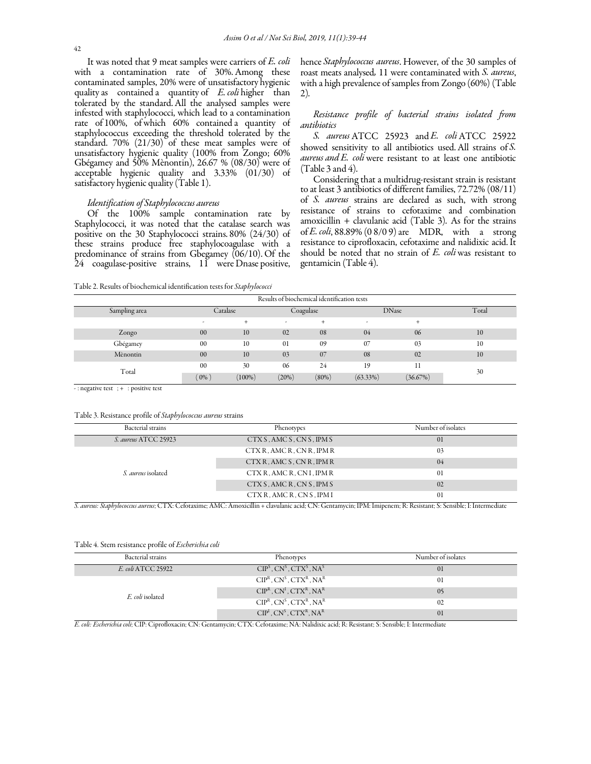It was noted that 9 meat samples were carriers of *E. coli* with a contamination rate of 30%. Among these contaminated samples, 20% were of unsatisfactory hygienic quality as contained a quantity of *E. coli* higher than tolerated by the standard. All the analysed samples were infested with staphylococci, which lead to a contamination rate of 100%, of which 60% contained a quantity of staphylococcus exceeding the threshold tolerated by the standard. 70% (21/30) of these meat samples were of unsatisfactory hygienic quality (100% from Zongo; 60% Gbégamey and 50% Mènontin), 26.67 % (08/30) were of acceptable hygienic quality and 3.33% (01/30) of satisfactory hygienic quality (Table 1).

### *Identification of Staphylococcus aureus*

Of the 100% sample contamination rate by Staphylococci, it was noted that the catalase search was positive on the 30 Staphylococci strains. 80% (24/30) of these strains produce free staphylocoagulase with a predominance of strains from Gbegamey (06/10). Of the  $24$  coagulase-positive strains,  $11$  were Dnase positive, hence *Staphylococcus aureus*. However, of the 30 samples of roast meats analysed*,* 11 were contaminated with *S. aureus*, with a high prevalence of samples from Zongo (60%) (Table 2)*.*

# *Resistance profile of bacterial strains isolated from antibiotics*

*S. aureus* ATCC 25923 and *E. coli*ATCC 25922 showed sensitivity to all antibiotics used. All strains of *S. aureus and E. coli* were resistant to at least one antibiotic (Table 3 and 4)*.*

Considering that a multidrug-resistant strain is resistant to at least 3 antibiotics of different families, 72.72% (08/11) of *S. aureus* strains are declared as such, with strong resistance of strains to cefotaxime and combination amoxicillin + clavulanic acid (Table 3)*.* As for the strains of *E. coli*, 88.89% (0 8/0 9) are MDR, with a strong resistance to ciprofloxacin, cefotaxime and nalidixic acid. It should be noted that no strain of *E. coli*was resistant to gentamicin (Table 4).

Table 2. Results of biochemical identification tests for Staphylococci

| Results of biochemical identification tests |       |           |       |           |                          |              |       |
|---------------------------------------------|-------|-----------|-------|-----------|--------------------------|--------------|-------|
| Sampling area                               |       | Catalase  |       | Coagulase |                          | <b>DNase</b> | Total |
|                                             |       | $^{+}$    |       | $\ddot{}$ | $\overline{\phantom{a}}$ | $^{+}$       |       |
| Zongo                                       | 00    | 10        | 02    | 08        | 04                       | 06           | 10    |
| Gbégamey                                    | 00    | 10        | 01    | 09        | 07                       | 03           | 10    |
| Mènontin                                    | 00    | 10        | 03    | 07        | 08                       | 02           | 10    |
| Total                                       | 00    | 30        | 06    | 24        | 19                       | 11           | 30    |
|                                             | $0\%$ | $(100\%)$ | (20%) | $(80\%)$  | $(63.33\%)$              | $(36.67\%)$  |       |

- : negative test ; + : positive test

### Table 3. Resistance profile of Staphylococcus aureus strains

| Bacterial strains         | Phenotypes                | Number of isolates |  |
|---------------------------|---------------------------|--------------------|--|
| S. aureus ATCC 25923      | CTX S, AMC S, CN S, IPM S | 01                 |  |
|                           | CTX R, AMC R, CN R, IPM R | 03                 |  |
|                           | CTX R, AMC S, CN R, IPM R | 04                 |  |
| <i>S. aureus</i> isolated | CTX R, AMC R, CN I, IPM R | 01                 |  |
|                           | CTX S, AMC R, CN S, IPM S | 02                 |  |
|                           | CTX R, AMC R, CN S, IPM I | 01                 |  |

S. aureus: Staphylococcus aureus; CTX: Cefotaxime; AMC: Amoxicillin + clavulanic acid; CN: Gentamycin; IPM: Imipenem; R: Resistant; S: Sensible; I: Intermediate

### Table 4. Stem resistance profile of Escherichia coli

| Bacterial strains    | Phenotypes                                                      | Number of isolates |
|----------------------|-----------------------------------------------------------------|--------------------|
| $E.$ coli ATCC 25922 | $CIPS$ , $CNS$ , $CTXS$ , $NAS$                                 | 01                 |
|                      | $CIPR$ , $CNS$ , $CTXR$ , $NAR$                                 | 01                 |
| E. coli isolated     | $\text{CIP}^R$ , $\text{CN}^I$ , $\text{CTX}^R$ , $\text{NA}^R$ | 05                 |
|                      | $CIP^R$ , $CN^S$ , $CTX^R$ , $NA^R$                             | 02                 |
|                      | $CIPI$ , $CNS$ , $CTXR$ , $NAR$                                 | 01                 |

E. coli: Escherichia coli; CIP: Ciprofloxacin; CN: Gentamycin; CTX: Cefotaxime; NA: Nalidixic acid; R: Resistant; S: Sensible; I: Intermediate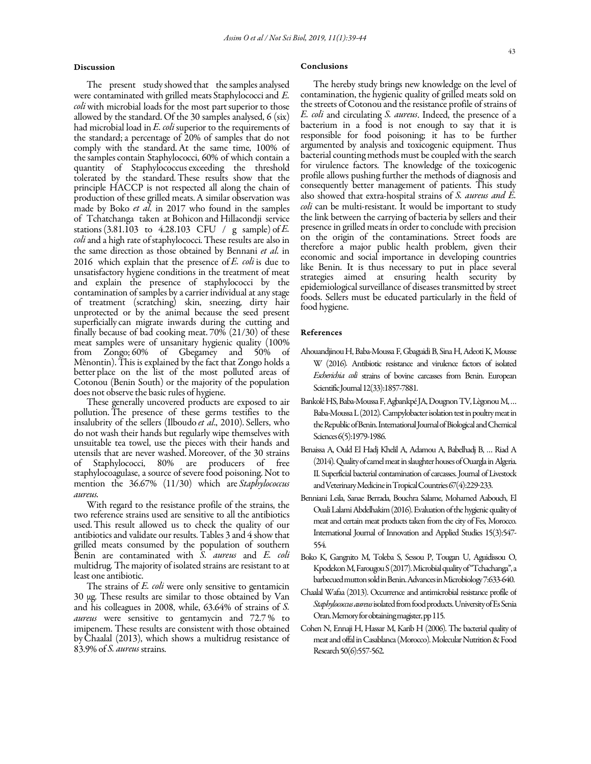# Discussion

The present study showed that the samples analysed were contaminated with grilled meats Staphylococci and *E. coli* with microbial loads for the most part superior to those allowed by the standard. Of the 30 samples analysed, 6 (six) had microbial load in *E. coli*superior to the requirements of the standard; a percentage of 20% of samples that do not comply with the standard. At the same time, 100% of the samples contain Staphylococci, 60% of which contain a quantity of Staphylococcus exceeding the threshold tolerated by the standard. These results show that the principle HACCP is not respected all along the chain of production of these grilled meats.A similar observation was made by Boko *et al*. in 2017 who found in the samples of Tchatchanga taken at Bohicon and Hillacondji service stations (3.81.103 to 4.28.103 CFU / g sample) of *E. coli* and a high rate of staphylococci. These results are also in the same direction as those obtained by Bennani *et al*. in 2016 which explain that the presence of *E. coli* is due to unsatisfactory hygiene conditions in the treatment of meat and explain the presence of staphylococci by the contamination of samples by a carrier individual at any stage of treatment (scratching) skin, sneezing, dirty hair unprotected or by the animal because the seed present superficially can migrate inwards during the cutting and finally because of bad cooking meat. 70% (21/30) of these meat samples were of unsanitary hygienic quality (100% from Zongo; 60% of Gbegamey and 50% of Mènontin). This is explained by the fact that Zongo holds a better place on the list of the most polluted areas of Cotonou (Benin South) or the majority of the population does not observe the basic rules of hygiene.

 of Staphylococci, 80% are producers of free These generally uncovered products are exposed to air pollution.The presence of these germs testifies to the insalubrity of the sellers (Ilboudo *et al*., 2010). Sellers, who do not wash their hands but regularly wipe themselves with unsuitable tea towel, use the pieces with their hands and utensils that are never washed. Moreover, of the 30 strains staphylocoagulase, a source of severe food poisoning. Not to mention the 36.67% (11/30) which are *Staphylococcus aureus.* 

With regard to the resistance profile of the strains, the two reference strains used are sensitive to all the antibiotics used. This result allowed us to check the quality of our antibiotics and validate our results. Tables 3 and 4 show that grilled meats consumed by the population of southern Benin are contaminated with *S. aureus* and *E. coli* multidrug. The majority of isolated strains are resistant to at least one antibiotic.

The strains of *E. coli* were only sensitive to gentamicin 30 μg. These results are similar to those obtained by Van and his colleagues in 2008, while, 63.64% of strains of *S. aureus* were sensitive to gentamycin and 72.7 % to imipenem. These results are consistent with those obtained by Chaalal (2013), which shows a multidrug resistance of 83.9% of *S. aureus* strains.

### Conclusions

The hereby study brings new knowledge on the level of contamination, the hygienic quality of grilled meats sold on the streets of Cotonou and the resistance profile of strains of *E. coli* and circulating *S. aureus*. Indeed, the presence of a bacterium in a food is not enough to say that it is responsible for food poisoning; it has to be further argumented by analysis and toxicogenic equipment. Thus bacterial counting methods must be coupled with the search for virulence factors. The knowledge of the toxicogenic profile allows pushing further the methods of diagnosis and consequently better management of patients. This study also showed that extra-hospital strains of *S. aureus and E. coli* can be multi-resistant. It would be important to study the link between the carrying of bacteria by sellers and their presence in grilled meats in order to conclude with precision on the origin of the contaminations. Street foods are therefore a major public health problem, given their economic and social importance in developing countries like Benin. It is thus necessary to put in place several strategies aimed at ensuring health security by epidemiological surveillance of diseases transmitted by street foods. Sellers must be educated particularly in the field of food hygiene.

# References

- Ahouandjinou H, Baba-Moussa F, Gbaguidi B, Sina H, Adeoti K, Mousse W (2016)*.* Antibiotic resistance and virulence factors of isolated *Escherichia coli* strains of bovine carcasses from Benin. European Scientific Journal 12(33):1857*-*7881.
- Bankolé HS, Baba-Moussa F, Agbankpé JA, Dougnon TV, Lègonou M, … Baba-Moussa L (2012)*.*Campylobacter isolation test in poultry meat in the Republic of Benin. International Journal of Biological and Chemical Sciences 6(5):1979*-*1986.
- Benaissa A, Ould El Hadj Khelil A, Adamou A, Babelhadj B, … Riad A (2014)*.* Quality of camel meat in slaughter houses of Ouargla in Algeria. II. Superficial bacterial contamination of carcasses. Journal of Livestock and Veterinary Medicine in Tropical Countries 67(4):229*-*233.
- Benniani Leila, Sanae Berrada, Bouchra Salame, Mohamed Aabouch, El Ouali Lalami Abdelhakim (2016). Evaluation of the hygienic quality of meat and certain meat products taken from the city of Fes, Morocco. International Journal of Innovation and Applied Studies 15(3):547*-* 554.
- Boko K, Gangnito M, Toleba S, Sessou P, Tougan U, Aguidissou O, Kpodekon M, Farougou S (2017). Microbial quality of "Tchachanga", a barbecued mutton sold in Benin. Advances in Microbiology 7:633-640.
- Chaalal Wafaa (2013). Occurrence and antimicrobial resistance profile of *Staphylococcus aureus* isolated from food products. University of Es Senia Oran. Memory for obtaining magister, pp 115.
- Cohen N, Ennaji H, Hassar M, Karib H (2006). The bacterial quality of meat and offal in Casablanca (Morocco). Molecular Nutrition & Food Research 50(6):557-562.